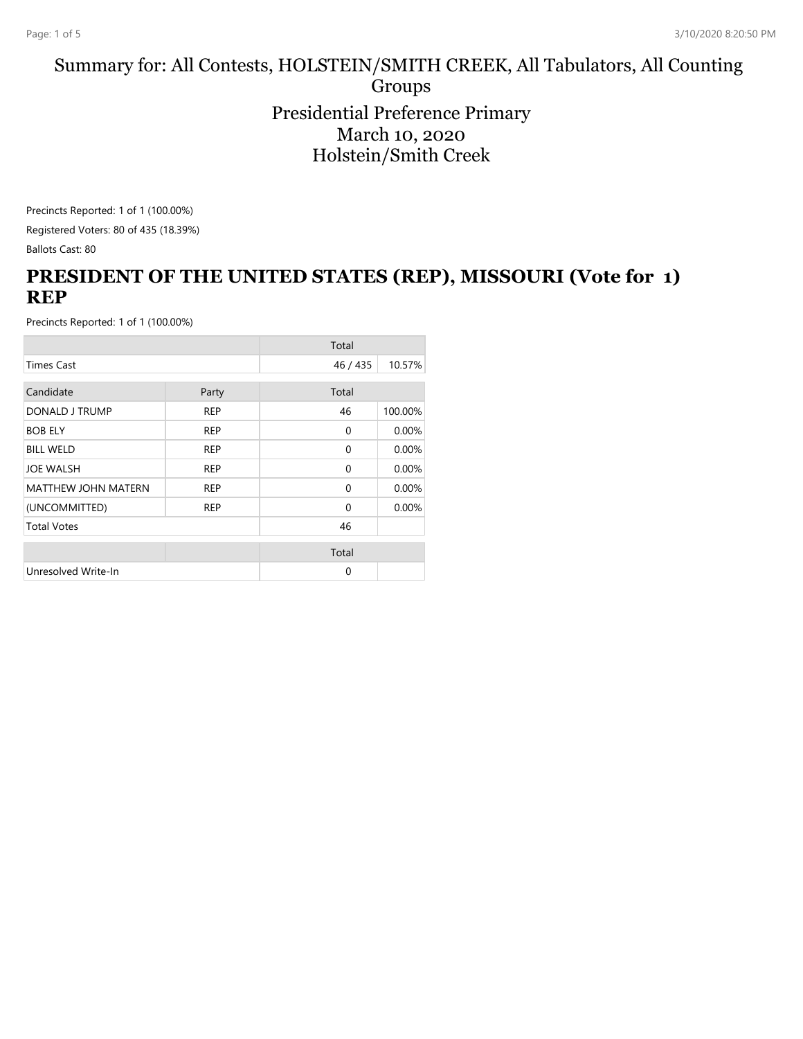#### Summary for: All Contests, HOLSTEIN/SMITH CREEK, All Tabulators, All Counting Groups Presidential Preference Primary March 10, 2020 Holstein/Smith Creek

Precincts Reported: 1 of 1 (100.00%) Registered Voters: 80 of 435 (18.39%)

Ballots Cast: 80

# **PRESIDENT OF THE UNITED STATES (REP), MISSOURI (Vote for 1) REP**

|                            |            | Total    |         |
|----------------------------|------------|----------|---------|
| <b>Times Cast</b>          |            | 46 / 435 | 10.57%  |
| Candidate                  |            | Total    |         |
|                            | Party      |          |         |
| DONALD J TRUMP             | <b>REP</b> | 46       | 100.00% |
| <b>BOB ELY</b>             | <b>REP</b> | $\Omega$ | 0.00%   |
| <b>BILL WELD</b>           | <b>REP</b> | $\Omega$ | 0.00%   |
| <b>JOE WALSH</b>           | <b>REP</b> | $\Omega$ | 0.00%   |
| <b>MATTHEW JOHN MATERN</b> | <b>REP</b> | $\Omega$ | 0.00%   |
| (UNCOMMITTED)              | <b>REP</b> | $\Omega$ | 0.00%   |
| <b>Total Votes</b>         |            | 46       |         |
|                            |            | Total    |         |
|                            |            |          |         |
| Unresolved Write-In        |            | $\Omega$ |         |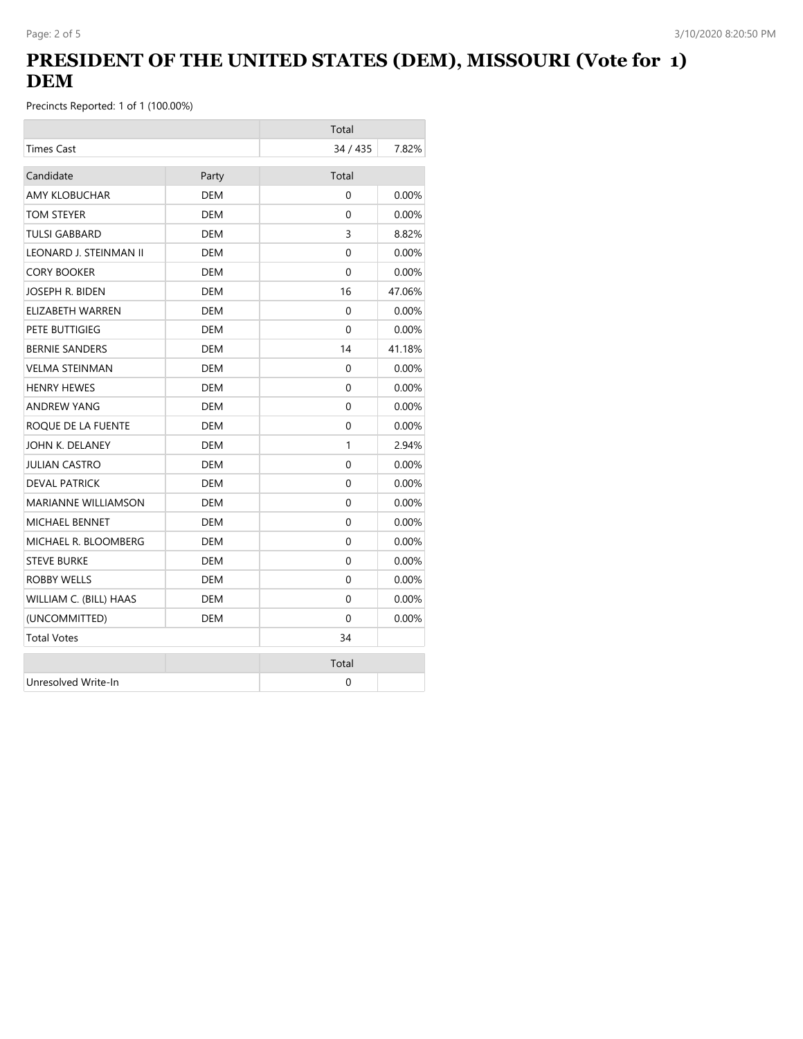## **PRESIDENT OF THE UNITED STATES (DEM), MISSOURI (Vote for 1) DEM**

|                            |            | Total    |          |
|----------------------------|------------|----------|----------|
| <b>Times Cast</b>          |            | 34 / 435 | 7.82%    |
| Candidate                  | Party      | Total    |          |
| <b>AMY KLOBUCHAR</b>       | <b>DEM</b> | $\Omega$ | 0.00%    |
| TOM STEYER                 | DEM        | 0        | $0.00\%$ |
| <b>TULSI GABBARD</b>       | <b>DEM</b> | 3        | 8.82%    |
| LEONARD J. STEINMAN II     | DEM        | 0        | $0.00\%$ |
| <b>CORY BOOKER</b>         | <b>DEM</b> | 0        | 0.00%    |
| JOSEPH R. BIDEN            | DEM        | 16       | 47.06%   |
| ELIZABETH WARREN           | <b>DEM</b> | 0        | 0.00%    |
| PETE BUTTIGIEG             | DEM        | 0        | $0.00\%$ |
| <b>BERNIE SANDERS</b>      | <b>DEM</b> | 14       | 41.18%   |
| <b>VELMA STEINMAN</b>      | DEM        | $\Omega$ | $0.00\%$ |
| <b>HENRY HEWES</b>         | DEM        | 0        | $0.00\%$ |
| <b>ANDREW YANG</b>         | DEM        | $\Omega$ | $0.00\%$ |
| ROQUE DE LA FUENTE         | <b>DEM</b> | 0        | 0.00%    |
| JOHN K. DELANEY            | <b>DEM</b> | 1        | 2.94%    |
| <b>JULIAN CASTRO</b>       | <b>DEM</b> | 0        | 0.00%    |
| <b>DEVAL PATRICK</b>       | <b>DEM</b> | $\Omega$ | 0.00%    |
| <b>MARIANNE WILLIAMSON</b> | <b>DEM</b> | 0        | 0.00%    |
| <b>MICHAEL BENNET</b>      | <b>DEM</b> | $\Omega$ | 0.00%    |
| MICHAEL R. BLOOMBERG       | DEM        | 0        | $0.00\%$ |
| <b>STEVE BURKE</b>         | <b>DEM</b> | $\Omega$ | 0.00%    |
| <b>ROBBY WELLS</b>         | <b>DEM</b> | $\Omega$ | 0.00%    |
| WILLIAM C. (BILL) HAAS     | <b>DEM</b> | $\Omega$ | $0.00\%$ |
| (UNCOMMITTED)              | <b>DEM</b> | 0        | 0.00%    |
| <b>Total Votes</b>         |            | 34       |          |
|                            |            | Total    |          |
| Unresolved Write-In        |            | 0        |          |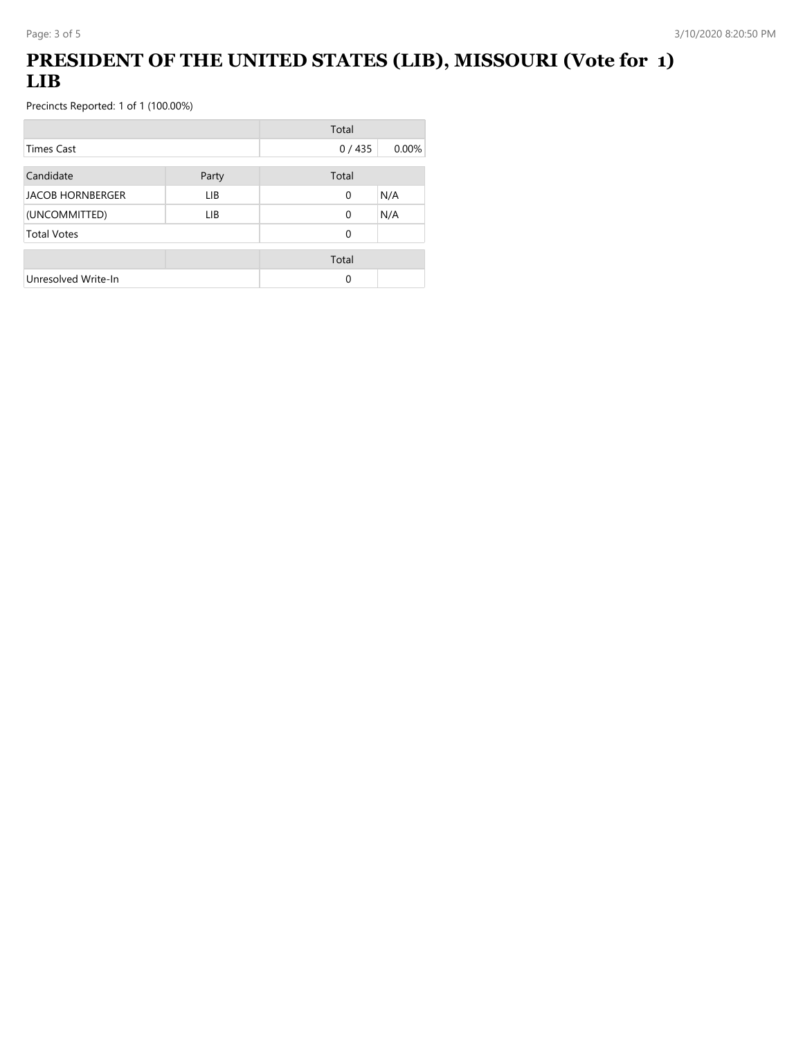# **PRESIDENT OF THE UNITED STATES (LIB), MISSOURI (Vote for 1) LIB**

|                         |       | Total    |       |
|-------------------------|-------|----------|-------|
| <b>Times Cast</b>       |       | 0/435    | 0.00% |
| Candidate               | Party | Total    |       |
| <b>JACOB HORNBERGER</b> | LIB.  | 0        | N/A   |
| (UNCOMMITTED)           | LIB   | $\Omega$ | N/A   |
| <b>Total Votes</b>      |       | 0        |       |
|                         |       | Total    |       |
| Unresolved Write-In     |       | 0        |       |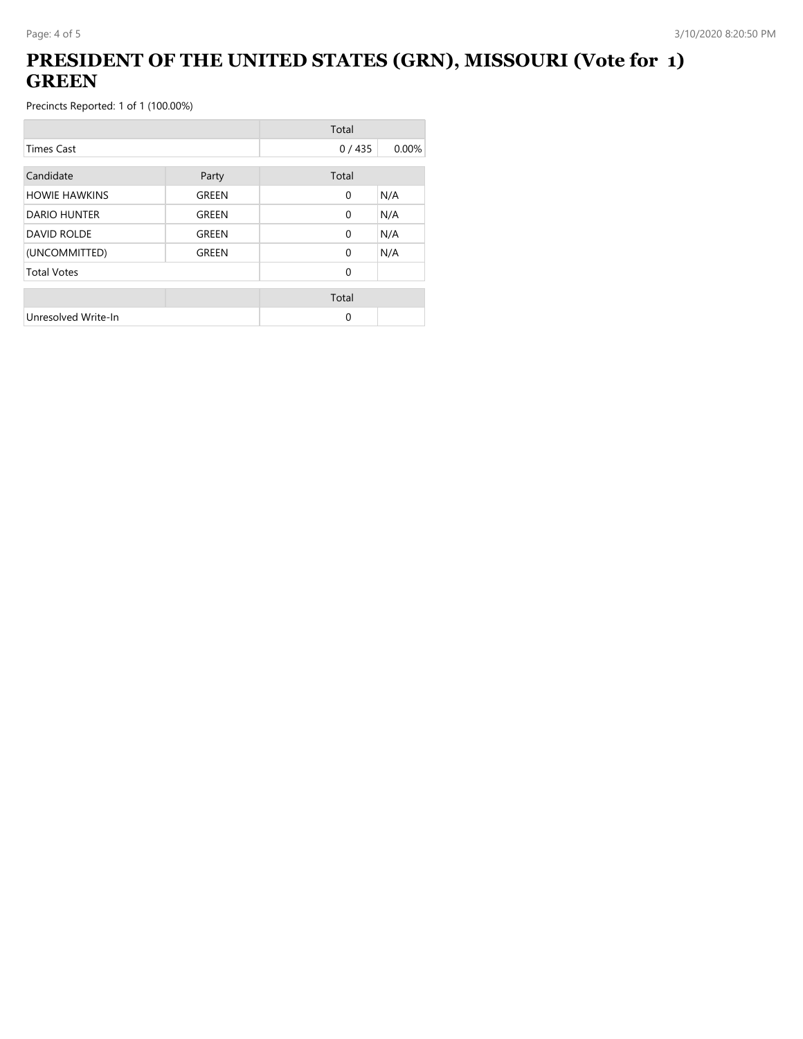### **PRESIDENT OF THE UNITED STATES (GRN), MISSOURI (Vote for 1) GREEN**

|                      |              | Total        |       |
|----------------------|--------------|--------------|-------|
| <b>Times Cast</b>    |              | 0/435        | 0.00% |
| Candidate            | Party        | Total        |       |
| <b>HOWIE HAWKINS</b> | GREEN        | $\mathbf{0}$ | N/A   |
| <b>DARIO HUNTER</b>  | <b>GREEN</b> | $\Omega$     | N/A   |
| <b>DAVID ROLDE</b>   | GREEN        | $\Omega$     | N/A   |
| (UNCOMMITTED)        | GREEN        | $\Omega$     | N/A   |
| <b>Total Votes</b>   |              | $\Omega$     |       |
|                      |              | Total        |       |
| Unresolved Write-In  |              | 0            |       |